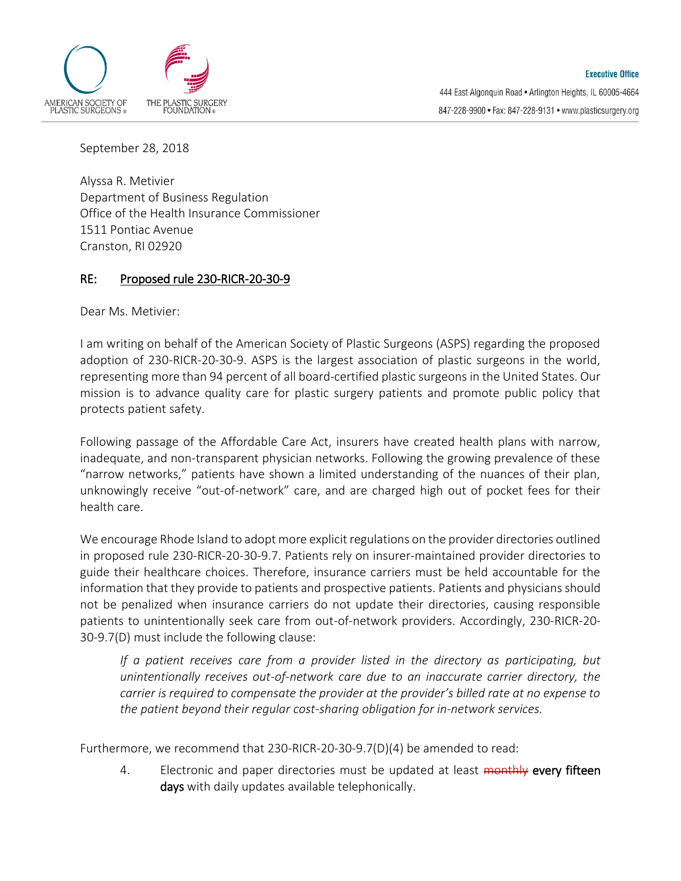

September 28, 2018

Alyssa R. Metivier Department of Business Regulation Office of the Health Insurance Commissioner 1511 Pontiac Avenue Cranston, RI 02920

## RE: Proposed rule 230-RICR-20-30-9

Dear Ms. Metivier:

I am writing on behalf of the American Society of Plastic Surgeons (ASPS) regarding the proposed adoption of 230-RICR-20-30-9. ASPS is the largest association of plastic surgeons in the world, representing more than 94 percent of all board-certified plastic surgeons in the United States. Our mission is to advance quality care for plastic surgery patients and promote public policy that protects patient safety.

Following passage of the Affordable Care Act, insurers have created health plans with narrow, inadequate, and non-transparent physician networks. Following the growing prevalence of these "narrow networks," patients have shown a limited understanding of the nuances of their plan, unknowingly receive "out-of-network" care, and are charged high out of pocket fees for their health care.

We encourage Rhode Island to adopt more explicit regulations on the provider directories outlined in proposed rule 230-RICR-20-30-9.7. Patients rely on insurer-maintained provider directories to guide their healthcare choices. Therefore, insurance carriers must be held accountable for the information that they provide to patients and prospective patients. Patients and physicians should not be penalized when insurance carriers do not update their directories, causing responsible patients to unintentionally seek care from out-of-network providers. Accordingly, 230-RICR-20- 30-9.7(D) must include the following clause:

*If a patient receives care from a provider listed in the directory as participating, but unintentionally receives out-of-network care due to an inaccurate carrier directory, the carrier is required to compensate the provider at the provider's billed rate at no expense to the patient beyond their regular cost-sharing obligation for in-network services.*

Furthermore, we recommend that 230-RICR-20-30-9.7(D)(4) be amended to read:

4. Electronic and paper directories must be updated at least monthly every fifteen days with daily updates available telephonically.